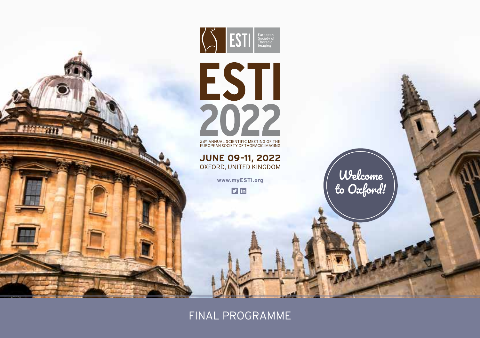

FINAL PROGRAMME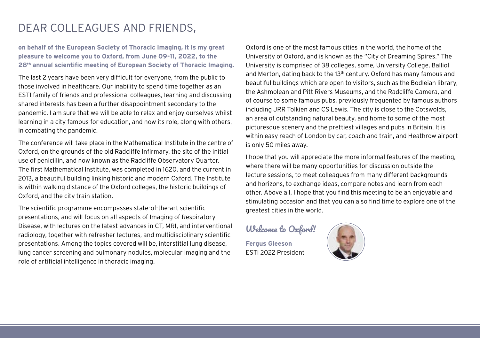# DEAR COLLEAGUES AND FRIENDS,

## **on behalf of the European Society of Thoracic Imaging, it is my great pleasure to welcome you to Oxford, from June 09-11, 2022, to the 28th annual scientific meeting of European Society of Thoracic Imaging.**

The last 2 years have been very difficult for everyone, from the public to those involved in healthcare. Our inability to spend time together as an ESTI family of friends and professional colleagues, learning and discussing shared interests has been a further disappointment secondary to the pandemic. I am sure that we will be able to relax and enjoy ourselves whilst learning in a city famous for education, and now its role, along with others, in combating the pandemic.

The conference will take place in the Mathematical Institute in the centre of Oxford, on the grounds of the old Radcliffe Infirmary, the site of the initial use of penicillin, and now known as the Radcliffe Observatory Quarter. The first Mathematical Institute, was completed in 1620, and the current in 2013, a beautiful building linking historic and modern Oxford. The Institute is within walking distance of the Oxford colleges, the historic buildings of Oxford, and the city train station.

The scientific programme encompasses state-of-the-art scientific presentations, and will focus on all aspects of Imaging of Respiratory Disease, with lectures on the latest advances in CT, MRI, and interventional radiology, together with refresher lectures, and multidisciplinary scientific presentations. Among the topics covered will be, interstitial lung disease, lung cancer screening and pulmonary nodules, molecular imaging and the role of artificial intelligence in thoracic imaging.

Oxford is one of the most famous cities in the world, the home of the University of Oxford, and is known as the "City of Dreaming Spires." The University is comprised of 38 colleges, some, University College, Balliol and Merton, dating back to the 13th century. Oxford has many famous and beautiful buildings which are open to visitors, such as the Bodleian library, the Ashmolean and Pitt Rivers Museums, and the Radcliffe Camera, and of course to some famous pubs, previously frequented by famous authors including JRR Tolkien and CS Lewis. The city is close to the Cotswolds, an area of outstanding natural beauty, and home to some of the most picturesque scenery and the prettiest villages and pubs in Britain. It is within easy reach of London by car, coach and train, and Heathrow airport is only 50 miles away.

I hope that you will appreciate the more informal features of the meeting, where there will be many opportunities for discussion outside the lecture sessions, to meet colleagues from many different backgrounds and horizons, to exchange ideas, compare notes and learn from each other. Above all, I hope that you find this meeting to be an enjoyable and stimulating occasion and that you can also find time to explore one of the greatest cities in the world.

## Welcome to Oxford!

**Fergus Gleeson**  ESTI 2022 President

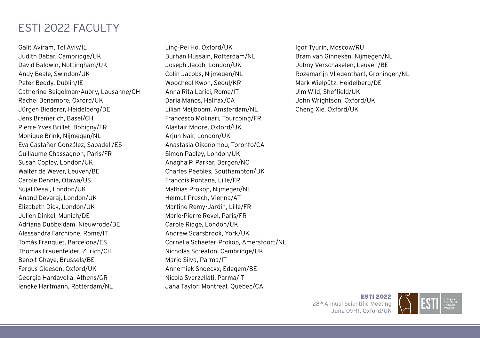# ESTI 2022 FACULTY

Galit Aviram, Tel Aviv/IL Judith Babar, Cambridge/UK David Baldwin, Nottingham/UK Andy Beale, Swindon/UK Peter Beddy, Dublin/IE Catherine Beigelman-Aubry, Lausanne/CH Rachel Benamore, Oxford/UK Jürgen Biederer, Heidelberg/DE Jens Bremerich, Basel/CH Pierre-Yves Brillet, Bobigny/FR Monique Brink, Nijmegen/NL Eva Castañer González, Sabadell/ES Guillaume Chassagnon, Paris/FR Susan Copley, London/UK Walter de Wever, Leuven/BE Carole Dennie, Otawa/US Sujal Desai, London/UK Anand Devaraj, London/UK Elizabeth Dick, London/UK Julien Dinkel, Munich/DE Adriana Dubbeldam, Nieuwrode/BE Alessandra Farchione, Rome/IT Tomás Franquet, Barcelona/ES Thomas Frauenfelder, Zurich/CH Benoit Ghaye, Brussels/BE Fergus Gleeson, Oxford/UK Georgia Hardavella, Athens/GR Ieneke Hartmann, Rotterdam/NL

Ling-Pei Ho, Oxford/UK Burhan Hussain, Rotterdam/NL Joseph Jacob, London/UK Colin Jacobs, Nijmegen/NL Woocheol Kwon, Seoul/KR Anna Rita Larici, Rome/IT Daria Manos, Halifax/CA Lilian Meijboom, Amsterdam/NL Francesco Molinari, Tourcoing/FR Alastair Moore, Oxford/UK Arjun Nair, London/UK Anastasia Oikonomou, Toronto/CA Simon Padley, London/UK Anagha P. Parkar, Bergen/NO Charles Peebles, Southampton/UK Francois Pontana, Lille/FR Mathias Prokop, Nijmegen/NL Helmut Prosch, Vienna/AT Martine Remy-Jardin, Lille/FR Marie-Pierre Revel, Paris/FR Carole Ridge, London/UK Andrew Scarsbrook, York/UK Cornelia Schaefer-Prokop, Amersfoort/NL Nicholas Screaton, Cambridge/UK Mario Silva, Parma/IT Annemiek Snoeckx, Edegem/BE Nicola Sverzellati, Parma/IT Jana Taylor, Montreal, Quebec/CA

Igor Tyurin, Moscow/RU Bram van Ginneken, Nijmegen/NL Johny Verschakelen, Leuven/BE Rozemarijn Vliegenthart, Groningen/NL Mark Wielpütz, Heidelberg/DE Jim Wild, Sheffield/UK John Wrightson, Oxford/UK Cheng Xie, Oxford/UK

> **ESTI 2022** 28<sup>th</sup> Annual Scientific Meeting June 09-11, Oxford/UK

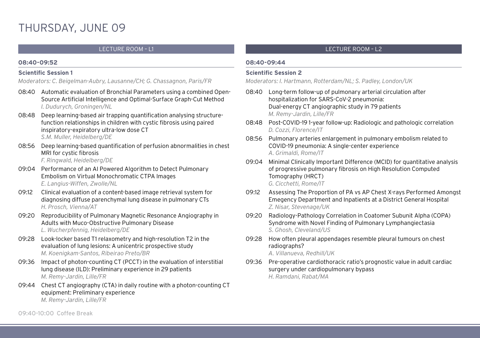# THURSDAY, JUNE 09

#### **08:40-09:52**

#### **Scientific Session 1**

*Moderators: C. Beigelman-Aubry, Lausanne/CH; G. Chassagnon, Paris/FR*

- 08:40 Automatic evaluation of Bronchial Parameters using a combined Open-Source Artificial Intelligence and Optimal-Surface Graph-Cut Method *I. Dudurych, Groningen/NL*
- 08:48 Deep learning-based air trapping quantification analysing structurefunction relationships in children with cystic fibrosis using paired inspiratory-expiratory ultra-low dose CT *S.M. Muller, Heidelberg/DE*
- 08:56 Deep learning-based quantification of perfusion abnormalities in chest MRI for cystic fibrosis

*F. Ringwald, Heidelberg/DE*

- 09:04 Performance of an AI Powered Algorithm to Detect Pulmonary Embolism on Virtual Monochromatic CTPA Images *E. Langius-Wiffen, Zwolle/NL*
- 09:12 Clinical evaluation of a content-based image retrieval system for diagnosing diffuse parenchymal lung disease in pulmonary CTs *H. Prosch, Vienna/AT*
- 09:20 Reproducibility of Pulmonary Magnetic Resonance Angiography in Adults with Muco-Obstructive Pulmonary Disease *L. Wucherpfennig, Heidelberg/DE*
- 09:28 Look-locker based T1 relaxometry and high-resolution T2 in the evaluation of lung lesions: A unicentric prospective study *M. Koenigkam-Santos, Ribeirao Preto/BR*
- 09:36 Impact of photon-counting CT (PCCT) in the evaluation of interstitial lung disease (ILD): Preliminary experience in 29 patients *M. Remy-Jardin, Lille/FR*
- 09:44 Chest CT angiography (CTA) in daily routine with a photon-counting CT equipment: Preliminary experience *M. Remy-Jardin, Lille/FR*

## LECTURE ROOM – L1 LECTURE ROOM – L2

#### **08:40-09:44**

#### **Scientific Session 2**

*Moderators: I. Hartmann, Rotterdam/NL; S. Padley, London/UK*

- 08:40 Long-term follow-up of pulmonary arterial circulation after hospitalization for SARS-CoV-2 pneumonia: Dual-energy CT angiographic study in 79 patients *M. Remy-Jardin, Lille/FR*
- 08:48 Post-COVID-19 1-year follow-up: Radiologic and pathologic correlation *D. Cozzi, Florence/IT*
- 08:56 Pulmonary arteries enlargement in pulmonary embolism related to COVID-19 pneumonia: A single-center experience *A. Grimaldi, Rome/IT*
- 09:04 Minimal Clinically Important Difference (MCID) for quantitative analysis of progressive pulmonary fibrosis on High Resolution Computed Tomography (HRCT) *G. Cicchetti, Rome/IT*
- 09:12 Assessing The Proportion of PA vs AP Chest X-rays Performed Amongst Emegency Department and Inpatients at a District General Hospital *Z. Nisar, Stevenage/UK*
- 09:20 Radiology-Pathology Correlation in Coatomer Subunit Alpha (COPA) Syndrome with Novel Finding of Pulmonary Lymphangiectasia *S. Ghosh, Cleveland/US*
- 09:28 How often pleural appendages resemble pleural tumours on chest radiographs?

*A. Villanueva, Redhill/UK*

09:36 Pre-operative cardiothoracic ratio's prognostic value in adult cardiac surgery under cardiopulmonary bypass *H. Ramdani, Rabat/MA*

09:40-10:00 Coffee Break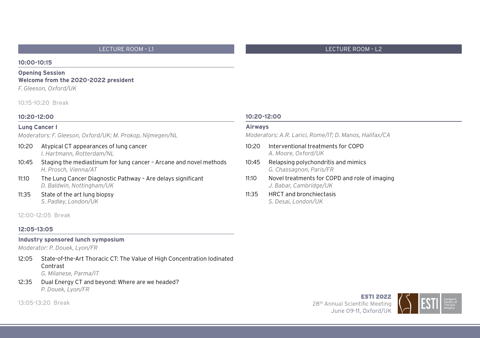#### **10:00-10:15**

#### **Opening Session Welcome from the 2020-2022 president**

*F. Gleeson, Oxford/UK*

10:15-10:20 Break

#### **10:20-12:00**

#### **Lung Cancer I**

*Moderators: F. Gleeson, Oxford/UK; M. Prokop, Nijmegen/NL*

- 10:20 Atypical CT appearances of lung cancer *I. Hartmann, Rotterdam/NL*
- 10:45 Staging the mediastinum for lung cancer Arcane and novel methods *H. Prosch, Vienna/AT*
- 11:10 The Lung Cancer Diagnostic Pathway Are delays significant *D. Baldwin, Nottingham/UK*
- 11:35 State of the art lung biopsy *S. Padley, London/UK*

12:00-12:05 Break

#### **12:05-13:05**

#### **Industry sponsored lunch symposium**

*Moderator: P. Douek, Lyon/FR*

- 12:05 State-of-the-Art Thoracic CT: The Value of High Concentration Iodinated Contrast *G. Milanese, Parma/IT*
- 12:35 Dual Energy CT and beyond: Where are we headed? *P. Douek, Lyon/FR*

13:05-13:20 Break

#### **10:20-12:00**

#### **Airways**

*Moderators: A.R. Larici, Rome/IT; D. Manos, Halifax/CA*

- 10:20 Interventional treatments for COPD *A. Moore, Oxford/UK*
- 10:45 Relapsing polychondritis and mimics *G. Chassagnon, Paris/FR*
- 11:10 Novel treatments for COPD and role of imaging *J. Babar, Cambridge/UK*
- 11:35 HRCT and bronchiectasis *S. Desai, London/UK*

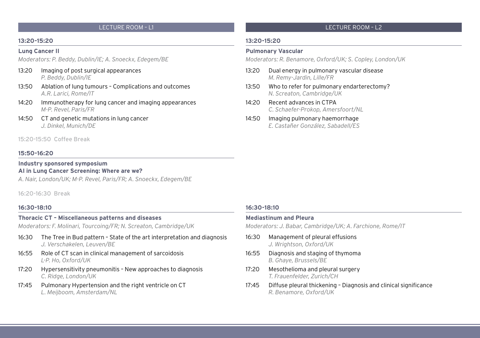#### **13:20-15:20**

#### **Lung Cancer II**

*Moderators: P. Beddy, Dublin/IE; A. Snoeckx, Edegem/BE*

- 13:20 Imaging of post surgical appearances *P. Beddy, Dublin/IE*
- 13:50 Ablation of lung tumours Complications and outcomes *A.R. Larici, Rome/IT*
- 14:20 Immunotherapy for lung cancer and imaging appearances *M-P. Revel, Paris/FR*
- 14:50 CT and genetic mutations in lung cancer *J. Dinkel, Munich/DE*

#### 15:20-15:50 Coffee Break

#### **15:50-16:20**

#### **Industry sponsored symposium AI in Lung Cancer Screening: Where are we?**

*A. Nair, London/UK; M-P. Revel, Paris/FR; A. Snoeckx, Edegem/BE*

16:20-16:30 Break

#### **16:30-18:10**

#### **Thoracic CT – Miscellaneous patterns and diseases**

*Moderators: F. Molinari, Tourcoing/FR; N. Screaton, Cambridge/UK*

- 16:30 The Tree in Bud pattern State of the art interpretation and diagnosis *J. Verschakelen, Leuven/BE*
- 16:55 Role of CT scan in clinical management of sarcoidosis *L-P. Ho, Oxford/UK*
- 17:20 Hypersensitivity pneumonitis New approaches to diagnosis *C. Ridge, London/UK*
- 17:45 Pulmonary Hypertension and the right ventricle on CT *L. Meijboom, Amsterdam/NL*

#### **13:20-15:20**

#### **Pulmonary Vascular**

*Moderators: R. Benamore, Oxford/UK; S. Copley, London/UK*

- 13:20 Dual energy in pulmonary vascular disease *M. Remy-Jardin, Lille/FR*
- 13:50 Who to refer for pulmonary endarterectomy? *N. Screaton, Cambridge/UK*
- 14:20 Recent advances in CTPA *C. Schaefer-Prokop, Amersfoort/NL*
- 14:50 Imaging pulmonary haemorrhage *E. Castañer González, Sabadell/ES*

#### **16:30-18:10**

#### **Mediastinum and Pleura**

*Moderators: J. Babar, Cambridge/UK; A. Farchione, Rome/IT*

- 16:30 Management of pleural effusions *J. Wrightson, Oxford/UK*
- 16:55 Diagnosis and staging of thymoma *B. Ghaye, Brussels/BE*
- 17:20 Mesothelioma and pleural surgery *T. Frauenfelder, Zurich/CH*
- 17:45 Diffuse pleural thickening Diagnosis and clinical significance *R. Benamore, Oxford/UK*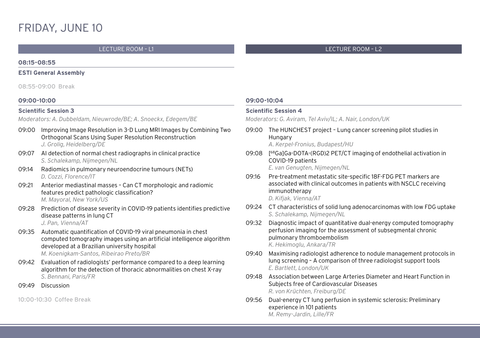# FRIDAY, JUNE 10

#### LECTURE ROOM – L1 LECTURE ROOM – L2

#### **08:15-08:55**

#### **ESTI General Assembly**

08:55-09:00 Break

#### **09:00-10:00**

#### **Scientific Session 3**

*Moderators: A. Dubbeldam, Nieuwrode/BE; A. Snoeckx, Edegem/BE* 

- 09:00 Improving Image Resolution in 3-D Lung MRI Images by Combining Two Orthogonal Scans Using Super Resolution Reconstruction *J. Grolig, Heidelberg/DE*
- 09:07 AI detection of normal chest radiographs in clinical practice *S. Schalekamp, Nijmegen/NL*
- 09:14 Radiomics in pulmonary neuroendocrine tumours (NETs) *D. Cozzi, Florence/IT*
- 09:21 Anterior mediastinal masses Can CT morphologic and radiomic features predict pathologic classification? *M. Mayoral, New York/US*
- 09:28 Prediction of disease severity in COVID-19 patients identifies predictive disease patterns in lung CT *J. Pan, Vienna/AT*
- 09:35 Automatic quantification of COVID-19 viral pneumonia in chest computed tomography images using an artificial intelligence algorithm developed at a Brazilian university hospital *M. Koenigkam-Santos, Ribeirao Preto/BR*
- 09:42 Evaluation of radiologists' performance compared to a deep learning algorithm for the detection of thoracic abnormalities on chest X-ray *S. Bennani, Paris/FR*
- 09:49 Discussion

10:00-10:30 Coffee Break

#### **09:00-10:04**

#### **Scientific Session 4**

*Moderators: G. Aviram, Tel Aviv/IL; A. Nair, London/UK*

09:00 The HUNCHEST project – Lung cancer screening pilot studies in Hungary *A. Kerpel-Fronius, Budapest/HU*

09:08 [ 68Ga]Ga-DOTA-(RGD)2 PET/CT imaging of endothelial activation in COVID-19 patients

*E. van Genugten, Nijmegen/NL*

- 09:16 Pre-treatment metastatic site-specific 18F-FDG PET markers are associated with clinical outcomes in patients with NSCLC receiving immunotherapy *D. Kifjak, Vienna/AT*
- 09:24 CT characteristics of solid lung adenocarcinomas with low FDG uptake *S. Schalekamp, Nijmegen/NL*
- 09:32 Diagnostic impact of quantitative dual-energy computed tomography perfusion imaging for the assessment of subsegmental chronic pulmonary thromboembolism *K. Hekimoglu, Ankara/TR*
- 09:40 Maximising radiologist adherence to nodule management protocols in lung screening – A comparison of three radiologist support tools *E. Bartlett, London/UK*
- 09:48 Association between Large Arteries Diameter and Heart Function in Subjects free of Cardiovascular Diseases *R. von Krüchten, Freiburg/DE*
- 09:56 Dual-energy CT lung perfusion in systemic sclerosis: Preliminary experience in 101 patients *M. Remy-Jardin, Lille/FR*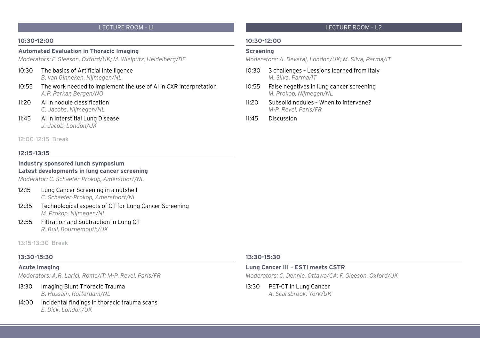#### **10:30-12:00**

#### **Automated Evaluation in Thoracic Imaging**

*Moderators: F. Gleeson, Oxford/UK; M. Wielpütz, Heidelberg/DE*

- 10:30 The basics of Artificial Intelligence *B. van Ginneken, Nijmegen/NL*
- 10:55 The work needed to implement the use of AI in CXR interpretation *A.P. Parkar, Bergen/NO*
- 11:20 AI in nodule classification *C. Jacobs, Nijmegen/NL*
- 11:45 AI in Interstitial Lung Disease *J. Jacob, London/UK*

#### 12:00-12:15 Break

#### **12:15-13:15**

#### **Industry sponsored lunch symposium Latest developments in lung cancer screening**

*Moderator: C. Schaefer-Prokop, Amersfoort/NL*

- 12:15 Lung Cancer Screening in a nutshell *C. Schaefer-Prokop, Amersfoort/NL*
- 12:35 Technological aspects of CT for Lung Cancer Screening *M. Prokop, Nijmegen/NL*
- 12:55 Filtration and Subtraction in Lung CT *R. Bull, Bournemouth/UK*

13:15-13:30 Break

#### **13:30-15:30**

**Acute Imaging** *Moderators: A.R. Larici, Rome/IT; M-P. Revel, Paris/FR*

- 13:30 Imaging Blunt Thoracic Trauma *B. Hussain, Rotterdam/NL*
- 14:00 Incidental findings in thoracic trauma scans *E. Dick, London/UK*

#### **10:30-12:00**

#### **Screening**

*Moderators: A. Devaraj, London/UK; M. Silva, Parma/IT*

- 10:30 3 challenges Lessions learned from Italy *M. Silva, Parma/IT*
- 10:55 False negatives in lung cancer screening *M. Prokop, Nijmegen/NL*
- 11:20 Subsolid nodules When to intervene? *M-P. Revel, Paris/FR*
- 11:45 Discussion

#### **13:30-15:30**

**Lung Cancer III – ESTI meets CSTR** *Moderators: C. Dennie, Ottawa/CA; F. Gleeson, Oxford/UK*

13:30 PET-CT in Lung Cancer *A. Scarsbrook, York/UK*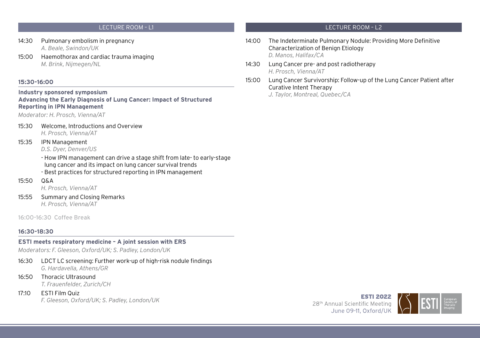- 14:30 Pulmonary embolism in pregnancy *A. Beale, Swindon/UK*
- 15:00 Haemothorax and cardiac trauma imaging *M. Brink, Nijmegen/NL*

#### **15:30-16:00**

**Industry sponsored symposium Advancing the Early Diagnosis of Lung Cancer: Impact of Structured Reporting in IPN Management**

*Moderator: H. Prosch, Vienna/AT*

15:30 Welcome, Introductions and Overview *H. Prosch, Vienna/AT*

#### 15:35 IPN Management

*D.S. Dyer, Denver/US*

- How IPN management can drive a stage shift from late- to early-stage lung cancer and its impact on lung cancer survival trends

- Best practices for structured reporting in IPN management
- 15:50 Q&A

*H. Prosch, Vienna/AT*

15:55 Summary and Closing Remarks *H. Prosch, Vienna/AT*

16:00-16:30 Coffee Break

#### **16:30-18:30**

#### **ESTI meets respiratory medicine – A joint session with ERS**

*Moderators: F. Gleeson, Oxford/UK; S. Padley, London/UK*

- 16:30 LDCT LC screening: Further work-up of high-risk nodule findings *G. Hardavella, Athens/GR*
- 16:50 Thoracic Ultrasound *T. Frauenfelder, Zurich/CH*
- 17:10 ESTI Film Quiz *F. Gleeson, Oxford/UK; S. Padley, London/UK*

- 14:00 The Indeterminate Pulmonary Nodule: Providing More Definitive Characterization of Benign Etiology *D. Manos, Halifax/CA*
- 14:30 Lung Cancer pre- and post radiotherapy *H. Prosch, Vienna/AT*
- 15:00 Lung Cancer Survivorship: Follow-up of the Lung Cancer Patient after Curative Intent Therapy

*J. Taylor, Montreal, Quebec/CA*

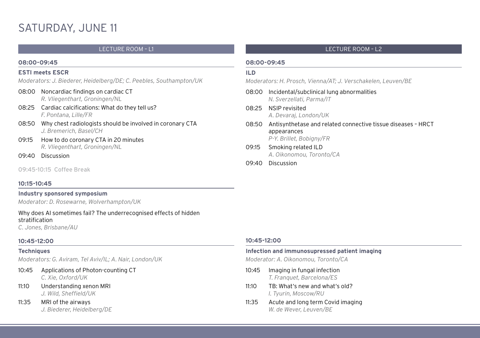# SATURDAY, JUNE 11

#### **08:00-09:45**

#### **ESTI meets ESCR**

*Moderators: J. Biederer, Heidelberg/DE; C. Peebles, Southampton/UK*

- 08:00 Noncardiac findings on cardiac CT *R. Vliegenthart, Groningen/NL*
- 08:25 Cardiac calcifications: What do they tell us? *F. Pontana, Lille/FR*
- 08:50 Why chest radiologists should be involved in coronary CTA *J. Bremerich, Basel/CH*
- 09:15 How to do coronary CTA in 20 minutes *R. Vliegenthart, Groningen/NL*
- 09:40 Discussion

09:45-10:15 Coffee Break

### **10:15-10:45**

**Industry sponsored symposium** *Moderator: D. Rosewarne, Wolverhampton/UK*

Why does AI sometimes fail? The underrecognised effects of hidden stratification

*C. Jones, Brisbane/AU*

#### **10:45-12:00**

#### **Techniques**

*Moderators: G. Aviram, Tel Aviv/IL; A. Nair, London/UK*

- 10:45 Applications of Photon-counting CT *C. Xie, Oxford/UK*
- 11:10 Understanding xenon MRI *J. Wild, Sheffield/UK*
- 11:35 MRI of the airways *J. Biederer, Heidelberg/DE*

#### LECTURE ROOM – L1 LECTURE ROOM – L2

#### **08:00-09:45**

#### **ILD**

*Moderators: H. Prosch, Vienna/AT; J. Verschakelen, Leuven/BE*

- 08:00 Incidental/subclinical lung abnormalities *N. Sverzellati, Parma/IT*
- 08:25 NSIP revisited *A. Devaraj, London/UK*
- 08:50 Antisynthetase and related connective tissue diseases HRCT appearances *P-Y. Brillet, Bobigny/FR*
- 09:15 Smoking related ILD *A. Oikonomou, Toronto/CA*
- 09:40 Discussion

#### **10:45-12:00**

#### **Infection and immunosupressed patient imaging**

*Moderator: A. Oikonomou, Toronto/CA*

- 10:45 Imaging in fungal infection *T. Franquet, Barcelona/ES*
- 11:10 TB: What's new and what's old? *I. Tyurin, Moscow/RU*
- 11:35 Acute and long term Covid imaging *W. de Wever, Leuven/BE*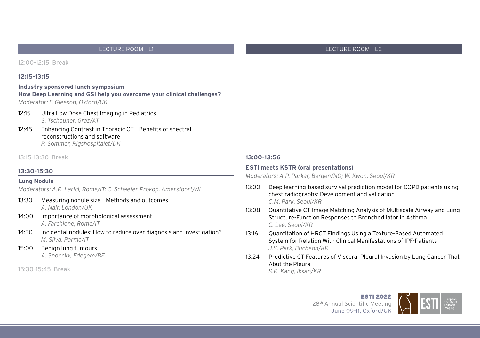12:00-12:15 Break

#### **12:15-13:15**

## **Industry sponsored lunch symposium How Deep Learning and GSI help you overcome your clinical challenges?**

*Moderator: F. Gleeson, Oxford/UK*

#### 12:15 Ultra Low Dose Chest Imaging in Pediatrics

*S. Tschauner, Graz/AT*

12:45 Enhancing Contrast in Thoracic CT – Benefits of spectral reconstructions and software *P. Sommer, Rigshospitalet/DK*

#### 13:15-13:30 Break

#### **13:30-15:30**

#### **Lung Nodule**

*Moderators: A.R. Larici, Rome/IT; C. Schaefer-Prokop, Amersfoort/NL*

- 13:30 Measuring nodule size Methods and outcomes *A. Nair, London/UK*
- 14:00 Importance of morphological assessment *A. Farchione, Rome/IT*
- 14:30 Incidental nodules: How to reduce over diagnosis and investigation? *M. Silva, Parma/IT*
- 15:00 Benign lung tumours *A. Snoeckx, Edegem/BE*

15:30-15:45 Break

#### **13:00-13:56**

#### **ESTI meets KSTR (oral presentations)**

*Moderators: A.P. Parkar, Bergen/NO; W. Kwon, Seoul/KR*

- 13:00 Deep learning-based survival prediction model for COPD patients using chest radiographs: Development and validation *C.M. Park, Seoul/KR*
- 13:08 Quantitative CT Image Matching Analysis of Multiscale Airway and Lung Structure-Function Responses to Bronchodilator in Asthma *C. Lee, Seoul/KR*
- 13:16 Quantitation of HRCT Findings Using a Texture-Based Automated System for Relation With Clinical Manifestations of IPF-Patients *J.S. Park, Bucheon/KR*
- 13:24 Predictive CT Features of Visceral Pleural Invasion by Lung Cancer That Abut the Pleura *S.R. Kang, Iksan/KR*

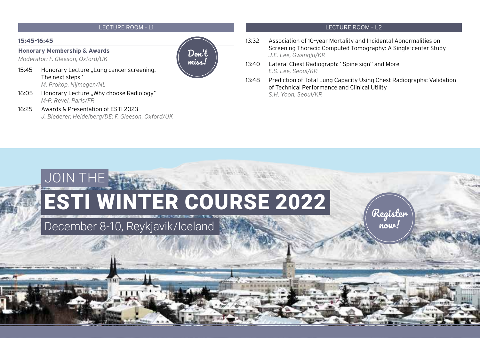#### **15:45-16:45**

**Honorary Membership & Awards**

*Moderator: F. Gleeson, Oxford/UK*

15:45 Honorary Lecture ..Lung cancer screening: The next steps"

*M. Prokop, Nijmegen/NL*

- 16:05 Honorary Lecture "Why choose Radiology" *M-P. Revel, Paris/FR*
- 16:25 Awards & Presentation of ESTI 2023 *J. Biederer, Heidelberg/DE; F. Gleeson, Oxford/UK*

# Don't miss.

- 13:32 Association of 10-year Mortality and Incidental Abnormalities on Screening Thoracic Computed Tomography: A Single-center Study *J.E. Lee, Gwangju/KR*
- 13:40 Lateral Chest Radiograph: "Spine sign" and More *E.S. Lee, Seoul/KR*
- 13:48 Prediction of Total Lung Capacity Using Chest Radiographs: Validation of Technical Performance and Clinical Utility *S.H. Yoon, Seoul/KR*

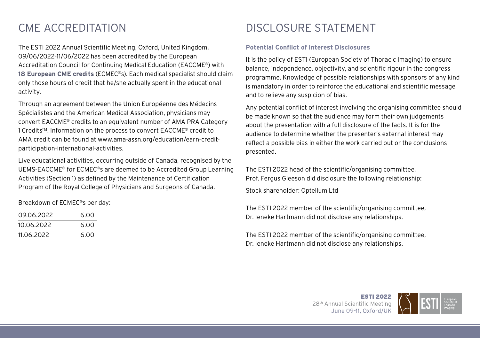The ESTI 2022 Annual Scientific Meeting, Oxford, United Kingdom, 09/06/2022-11/06/2022 has been accredited by the European Accreditation Council for Continuing Medical Education (EACCME®) with **18 European CME credits** (ECMEC®s). Each medical specialist should claim only those hours of credit that he/she actually spent in the educational activity.

Through an agreement between the Union Européenne des Médecins Spécialistes and the American Medical Association, physicians may convert EACCME® credits to an equivalent number of AMA PRA Category 1 CreditsTM. Information on the process to convert EACCME® credit to AMA credit can be found at www.ama-assn.org/education/earn-creditparticipation-international-activities.

Live educational activities, occurring outside of Canada, recognised by the UEMS-EACCME® for ECMEC®s are deemed to be Accredited Group Learning Activities (Section 1) as defined by the Maintenance of Certification Program of the Royal College of Physicians and Surgeons of Canada.

Breakdown of ECMEC®s per day:

| 09.06.2022 | 6.00 |
|------------|------|
| 10.06.2022 | 6.00 |
| 11.06.2022 | 6.00 |

# CME ACCREDITATION DISCLOSURE STATEMENT

#### **Potential Conflict of Interest Disclosures**

It is the policy of ESTI (European Society of Thoracic Imaging) to ensure balance, independence, objectivity, and scientific rigour in the congress programme. Knowledge of possible relationships with sponsors of any kind is mandatory in order to reinforce the educational and scientific message and to relieve any suspicion of bias.

Any potential conflict of interest involving the organising committee should be made known so that the audience may form their own judgements about the presentation with a full disclosure of the facts. It is for the audience to determine whether the presenter's external interest may reflect a possible bias in either the work carried out or the conclusions presented.

The ESTI 2022 head of the scientific/organising committee, Prof. Fergus Gleeson did disclosure the following relationship:

Stock shareholder: Optellum Ltd

The ESTI 2022 member of the scientific/organising committee, Dr. Ieneke Hartmann did not disclose any relationships.

The ESTI 2022 member of the scientific/organising committee, Dr. Ieneke Hartmann did not disclose any relationships.

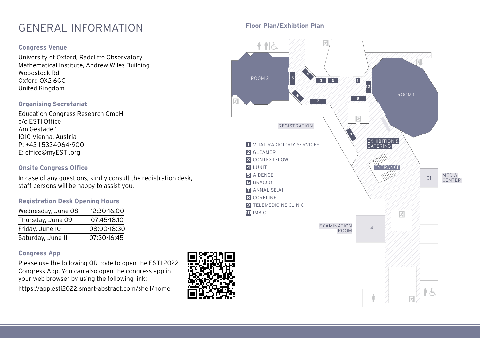# **Floor Plan/Exhibtion Plan** GENERAL INFORMATION

## **Congress Venue**

University of Oxford, Radcliffe Observatory Mathematical Institute, Andrew Wiles Building Woodstock Rd Oxford OX2 6GG United Kingdom

## **Organising Secretariat**

Education Congress Research GmbH c/o ESTI Office Am Gestade 1 1010 Vienna, Austria P: +43 1 5334064-900 E: office@myESTI.org

## **Onsite Congress Office**

In case of any questions, kindly consult the registration desk, staff persons will be happy to assist you.

### **Registration Desk Opening Hours**

| Wednesday, June 08 | 12:30-16:00 |
|--------------------|-------------|
| Thursday, June 09  | 07:45-18:10 |
| Friday, June 10    | 08:00-18:30 |
| Saturday, June 11  | 07:30-16:45 |

### **Congress App**

Please use the following QR code to open the ESTI 2022 Congress App. You can also open the congress app in your web browser by using the following link: https://app.esti2022.smart-abstract.com/shell/home



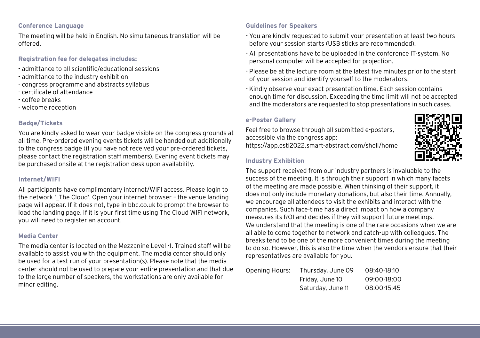## **Conference Language**

The meeting will be held in English. No simultaneous translation will be offered.

## **Registration fee for delegates includes:**

- admittance to all scientific/educational sessions
- admittance to the industry exhibition
- congress programme and abstracts syllabus
- certificate of attendance
- coffee breaks
- welcome reception

### **Badge/Tickets**

You are kindly asked to wear your badge visible on the congress grounds at all time. Pre-ordered evening events tickets will be handed out additionally to the congress badge (if you have not received your pre-ordered tickets, please contact the registration staff members). Evening event tickets may be purchased onsite at the registration desk upon availability.

#### **Internet/WIFI**

All participants have complimentary internet/WIFI access. Please login to the network '\_The Cloud'. Open your internet browser - the venue landing page will appear. If it does not, type in bbc.co.uk to prompt the browser to load the landing page. If it is your first time using The Cloud WIFI network, you will need to register an account.

#### **Media Center**

The media center is located on the Mezzanine Level -1. Trained staff will be available to assist you with the equipment. The media center should only be used for a test run of your presentation(s). Please note that the media center should not be used to prepare your entire presentation and that due to the large number of speakers, the workstations are only available for minor editing.

#### **Guidelines for Speakers**

- You are kindly requested to submit your presentation at least two hours before your session starts (USB sticks are recommended).
- All presentations have to be uploaded in the conference IT-system. No personal computer will be accepted for projection.
- Please be at the lecture room at the latest five minutes prior to the start of your session and identify yourself to the moderators.
- Kindly observe your exact presentation time. Each session contains enough time for discussion. Exceeding the time limit will not be accepted and the moderators are requested to stop presentations in such cases.

### **e-Poster Gallery**

Feel free to browse through all submitted e-posters, accessible via the congress app: https://app.esti2022.smart-abstract.com/shell/home

#### **Industry Exhibition**



The support received from our industry partners is invaluable to the success of the meeting. It is through their support in which many facets of the meeting are made possible. When thinking of their support, it does not only include monetary donations, but also their time. Annually, we encourage all attendees to visit the exhibits and interact with the companies. Such face-time has a direct impact on how a company measures its ROI and decides if they will support future meetings. We understand that the meeting is one of the rare occasions when we are all able to come together to network and catch-up with colleagues. The breaks tend to be one of the more convenient times during the meeting to do so. However, this is also the time when the vendors ensure that their representatives are available for you.

| Opening Hours: | Thursday, June 09 | 08:40-18:10 |
|----------------|-------------------|-------------|
|                | Friday, June 10   | 09:00-18:00 |
|                | Saturday, June 11 | 08:00-15:45 |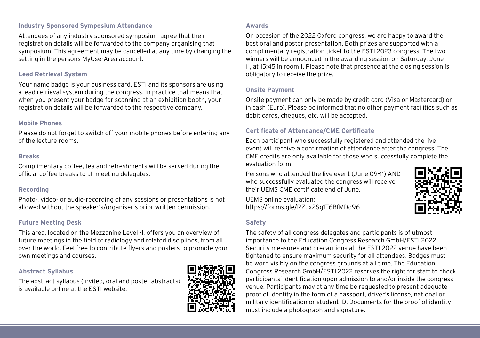#### **Industry Sponsored Symposium Attendance**

Attendees of any industry sponsored symposium agree that their registration details will be forwarded to the company organising that symposium. This agreement may be cancelled at any time by changing the setting in the persons MyUserArea account.

#### **Lead Retrieval System**

Your name badge is your business card. ESTI and its sponsors are using a lead retrieval system during the congress. In practice that means that when you present your badge for scanning at an exhibition booth, your registration details will be forwarded to the respective company.

#### **Mobile Phones**

Please do not forget to switch off your mobile phones before entering any of the lecture rooms.

#### **Breaks**

Complimentary coffee, tea and refreshments will be served during the official coffee breaks to all meeting delegates.

### **Recording**

Photo-, video- or audio-recording of any sessions or presentations is not allowed without the speaker's/organiser's prior written permission.

### **Future Meeting Desk**

This area, located on the Mezzanine Level -1, offers you an overview of future meetings in the field of radiology and related disciplines, from all over the world. Feel free to contribute flyers and posters to promote your own meetings and courses.

### **Abstract Syllabus**

The abstract syllabus (invited, oral and poster abstracts) is available online at the ESTI website.



#### **Awards**

On occasion of the 2022 Oxford congress, we are happy to award the best oral and poster presentation. Both prizes are supported with a complimentary registration ticket to the ESTI 2023 congress. The two winners will be announced in the awarding session on Saturday, June 11, at 15:45 in room 1. Please note that presence at the closing session is obligatory to receive the prize.

#### **Onsite Payment**

Onsite payment can only be made by credit card (Visa or Mastercard) or in cash (Euro). Please be informed that no other payment facilities such as debit cards, cheques, etc. will be accepted.

### **Certificate of Attendance/CME Certificate**

Each participant who successfully registered and attended the live event will receive a confirmation of attendance after the congress. The CME credits are only available for those who successfully complete the evaluation form.

Persons who attended the live event (June 09-11) AND who successfully evaluated the congress will receive their UEMS CME certificate end of June.

UEMS online evaluation: https://forms.gle/RZux2Sg1T6BfMDq96

## **Safety**



The safety of all congress delegates and participants is of utmost importance to the Education Congress Research GmbH/ESTI 2022. Security measures and precautions at the ESTI 2022 venue have been tightened to ensure maximum security for all attendees. Badges must be worn visibly on the congress grounds at all time. The Education Congress Research GmbH/ESTI 2022 reserves the right for staff to check participants' identification upon admission to and/or inside the congress venue. Participants may at any time be requested to present adequate proof of identity in the form of a passport, driver's license, national or military identification or student ID. Documents for the proof of identity must include a photograph and signature.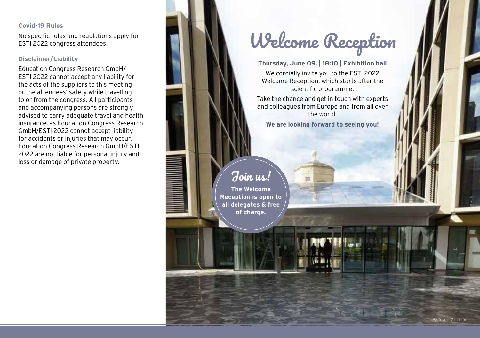#### **Covid-19 Rules**

No specific rules and regulations apply for ESTI 2022 congress attendees.

## **Disclaimer/Liability**

Education Congress Research GmbH/ ESTI 2022 cannot accept any liability for the acts of the suppliers to this meeting or the attendees' safety while travelling to or from the congress. All participants and accompanying persons are strongly advised to carry adequate travel and health insurance, as Education Congress Research GmbH/ESTI 2022 cannot accept liability for accidents or injuries that may occur. Education Congress Research GmbH/ESTI 2022 are not liable for personal injury and loss or damage of private property.

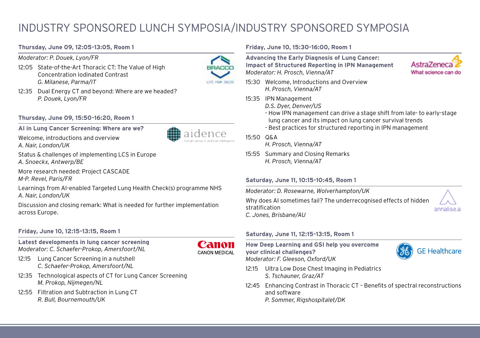# INDUSTRY SPONSORED LUNCH SYMPOSIA/INDUSTRY SPONSORED SYMPOSIA

#### **Thursday, June 09, 12:05-13:05, Room 1**

*Moderator: P. Douek, Lyon/FR*

12:05 State-of-the-Art Thoracic CT: The Value of High Concentration Iodinated Contrast *G. Milanese, Parma/IT*



12:35 Dual Energy CT and beyond: Where are we headed? *P. Douek, Lyon/FR*

#### **Thursday, June 09, 15:50-16:20, Room 1**

**AI in Lung Cancer Screening: Where are we?**



aidence

Status & challenges of implementing LCS in Europe *A. Snoeckx, Antwerp/BE*

More research needed: Project CASCADE *M-P. Revel, Paris/FR*

Learnings from AI-enabled Targeted Lung Health Check(s) programme NHS *A. Nair, London/UK*

Discussion and closing remark: What is needed for further implementation across Europe.

#### **Friday, June 10, 12:15-13:15, Room 1**

**Latest developments in lung cancer screening** *Moderator: C. Schaefer-Prokop, Amersfoort/NL*



- 12:15 Lung Cancer Screening in a nutshell *C. Schaefer-Prokop, Amersfoort/NL*
- 12:35 Technological aspects of CT for Lung Cancer Screening *M. Prokop, Nijmegen/NL*
- 12:55 Filtration and Subtraction in Lung CT *R. Bull, Bournemouth/UK*

#### **Friday, June 10, 15:30-16:00, Room 1**

**Advancing the Early Diagnosis of Lung Cancer: Impact of Structured Reporting in IPN Management** *Moderator: H. Prosch, Vienna/AT*

- 15:30 Welcome, Introductions and Overview *H. Prosch, Vienna/AT*
- 15:35 IPN Management
	- *D.S. Dyer, Denver/US*
	- How IPN management can drive a stage shift from late- to early-stage lung cancer and its impact on lung cancer survival trends
	- Best practices for structured reporting in IPN management

#### 15:50 Q&A

- *H. Prosch, Vienna/AT*
- 15:55 Summary and Closing Remarks *H. Prosch, Vienna/AT*

#### **Saturday, June 11, 10:15-10:45, Room 1**

*Moderator: D. Rosewarne, Wolverhampton/UK*

Why does AI sometimes fail? The underrecognised effects of hidden stratification *C. Jones, Brisbane/AU*

#### **Saturday, June 11, 12:15-13:15, Room 1**

**How Deep Learning and GSI help you overcome your clinical challenges?** *Moderator: F. Gleeson, Oxford/UK*

- 12:15 Ultra Low Dose Chest Imaging in Pediatrics *S. Tschauner, Graz/AT*
- 12:45 Enhancing Contrast in Thoracic CT Benefits of spectral reconstructions and software *P. Sommer, Rigshospitalet/DK*



annalise.a

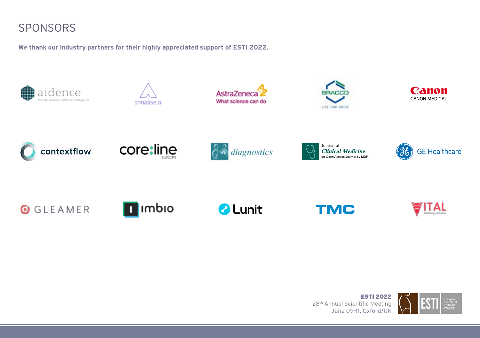# SPONSORS

**We thank our industry partners for their highly appreciated support of ESTI 2022.**





















**O** GLEAMER



*a* Lunit

**TMC**

**ESTI 2022** 28<sup>th</sup> Annual Scientific Meeting June 09-11, Oxford/UK